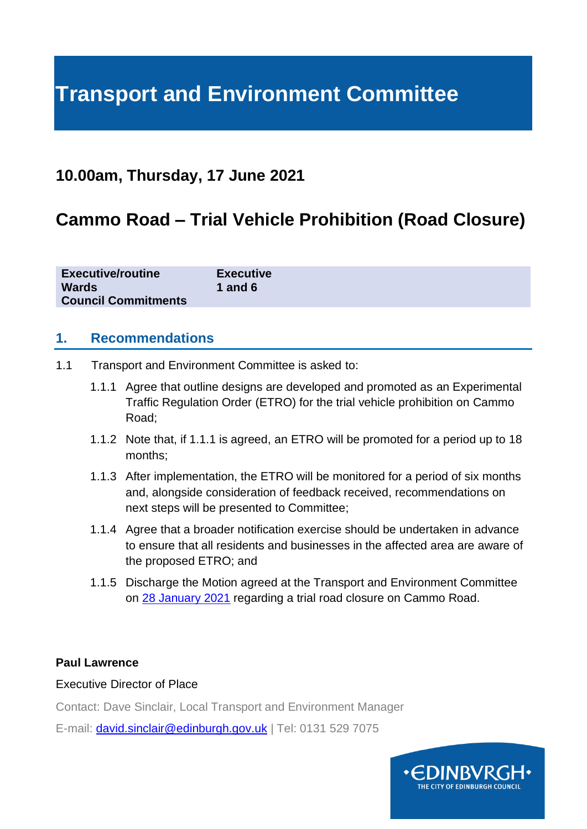# **Transport and Environment Committee**

## **10.00am, Thursday, 17 June 2021**

## **Cammo Road – Trial Vehicle Prohibition (Road Closure)**

| <b>Executive/routine</b>   | <b>Executive</b> |
|----------------------------|------------------|
| <b>Wards</b>               | <b>1</b> and 6   |
| <b>Council Commitments</b> |                  |

#### **1. Recommendations**

- 1.1 Transport and Environment Committee is asked to:
	- 1.1.1 Agree that outline designs are developed and promoted as an Experimental Traffic Regulation Order (ETRO) for the trial vehicle prohibition on Cammo Road;
	- 1.1.2 Note that, if 1.1.1 is agreed, an ETRO will be promoted for a period up to 18 months;
	- 1.1.3 After implementation, the ETRO will be monitored for a period of six months and, alongside consideration of feedback received, recommendations on next steps will be presented to Committee;
	- 1.1.4 Agree that a broader notification exercise should be undertaken in advance to ensure that all residents and businesses in the affected area are aware of the proposed ETRO; and
	- 1.1.5 Discharge the Motion agreed at the Transport and Environment Committee on [28 January 2021](https://democracy.edinburgh.gov.uk/ieListDocuments.aspx?CId=136&MId=5661&Ver=4) regarding a trial road closure on Cammo Road.

#### **Paul Lawrence**

#### Executive Director of Place

Contact: Dave Sinclair, Local Transport and Environment Manager

E-mail: [david.sinclair@edinburgh.gov.uk](mailto:david.sinclair@edinburgh.gov.uk) | Tel: 0131 529 7075

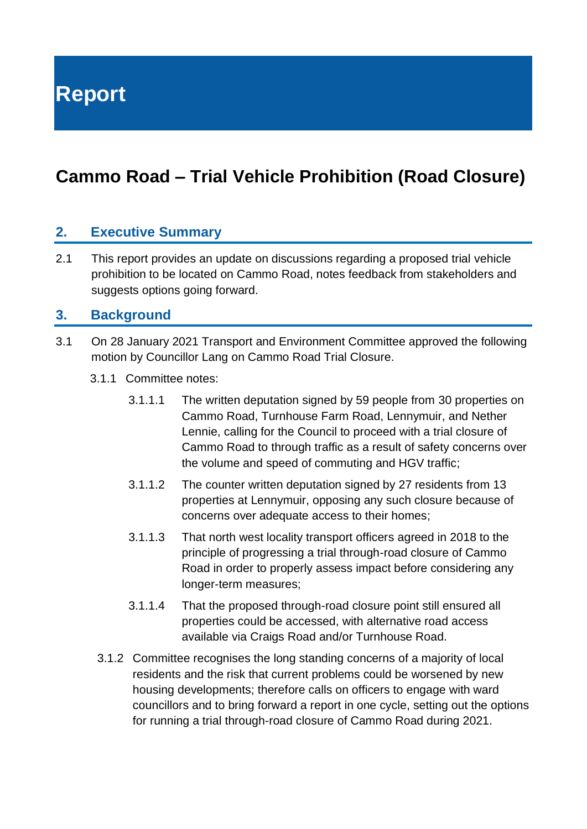**Report**

## **Cammo Road – Trial Vehicle Prohibition (Road Closure)**

### **2. Executive Summary**

2.1 This report provides an update on discussions regarding a proposed trial vehicle prohibition to be located on Cammo Road, notes feedback from stakeholders and suggests options going forward.

#### **3. Background**

- 3.1 On [28 January 2021](https://democracy.edinburgh.gov.uk/ieListDocuments.aspx?CId=136&MId=5661&Ver=4) Transport and Environment Committee approved the following motion by Councillor Lang on Cammo Road Trial Closure.
	- 3.1.1 Committee notes:
		- 3.1.1.1 The written deputation signed by 59 people from 30 properties on Cammo Road, Turnhouse Farm Road, Lennymuir, and Nether Lennie, calling for the Council to proceed with a trial closure of Cammo Road to through traffic as a result of safety concerns over the volume and speed of commuting and HGV traffic;
		- 3.1.1.2 The counter written deputation signed by 27 residents from 13 properties at Lennymuir, opposing any such closure because of concerns over adequate access to their homes;
		- 3.1.1.3 That north west locality transport officers agreed in 2018 to the principle of progressing a trial through-road closure of Cammo Road in order to properly assess impact before considering any longer-term measures;
		- 3.1.1.4 That the proposed through-road closure point still ensured all properties could be accessed, with alternative road access available via Craigs Road and/or Turnhouse Road.
		- 3.1.2 Committee recognises the long standing concerns of a majority of local residents and the risk that current problems could be worsened by new housing developments; therefore calls on officers to engage with ward councillors and to bring forward a report in one cycle, setting out the options for running a trial through-road closure of Cammo Road during 2021.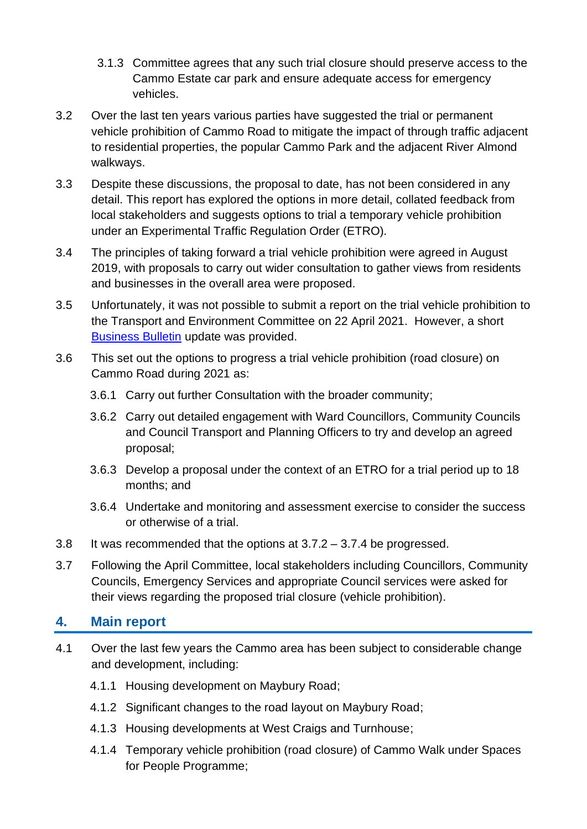- 3.1.3 Committee agrees that any such trial closure should preserve access to the Cammo Estate car park and ensure adequate access for emergency vehicles.
- 3.2 Over the last ten years various parties have suggested the trial or permanent vehicle prohibition of Cammo Road to mitigate the impact of through traffic adjacent to residential properties, the popular Cammo Park and the adjacent River Almond walkways.
- 3.3 Despite these discussions, the proposal to date, has not been considered in any detail. This report has explored the options in more detail, collated feedback from local stakeholders and suggests options to trial a temporary vehicle prohibition under an Experimental Traffic Regulation Order (ETRO).
- 3.4 The principles of taking forward a trial vehicle prohibition were agreed in August 2019, with proposals to carry out wider consultation to gather views from residents and businesses in the overall area were proposed.
- 3.5 Unfortunately, it was not possible to submit a report on the trial vehicle prohibition to the Transport and Environment Committee on 22 April 2021. However, a short [Business Bulletin](https://democracy.edinburgh.gov.uk/documents/s33322/6.1%20-%20Business%20Bulletin_April%202021.pdf) update was provided.
- 3.6 This set out the options to progress a trial vehicle prohibition (road closure) on Cammo Road during 2021 as:
	- 3.6.1 Carry out further Consultation with the broader community;
	- 3.6.2 Carry out detailed engagement with Ward Councillors, Community Councils and Council Transport and Planning Officers to try and develop an agreed proposal;
	- 3.6.3 Develop a proposal under the context of an ETRO for a trial period up to 18 months; and
	- 3.6.4 Undertake and monitoring and assessment exercise to consider the success or otherwise of a trial.
- 3.8 It was recommended that the options at 3.7.2 3.7.4 be progressed.
- 3.7 Following the April Committee, local stakeholders including Councillors, Community Councils, Emergency Services and appropriate Council services were asked for their views regarding the proposed trial closure (vehicle prohibition).

## **4. Main report**

- 4.1 Over the last few years the Cammo area has been subject to considerable change and development, including:
	- 4.1.1 Housing development on Maybury Road;
	- 4.1.2 Significant changes to the road layout on Maybury Road;
	- 4.1.3 Housing developments at West Craigs and Turnhouse;
	- 4.1.4 Temporary vehicle prohibition (road closure) of Cammo Walk under Spaces for People Programme;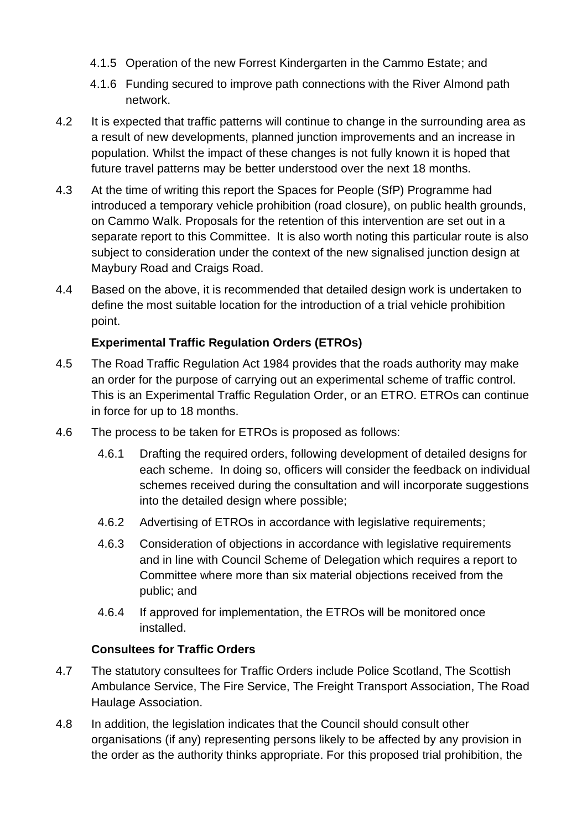- 4.1.5 Operation of the new Forrest Kindergarten in the Cammo Estate; and
- 4.1.6 Funding secured to improve path connections with the River Almond path network.
- 4.2 It is expected that traffic patterns will continue to change in the surrounding area as a result of new developments, planned junction improvements and an increase in population. Whilst the impact of these changes is not fully known it is hoped that future travel patterns may be better understood over the next 18 months.
- 4.3 At the time of writing this report the Spaces for People (SfP) Programme had introduced a temporary vehicle prohibition (road closure), on public health grounds, on Cammo Walk. Proposals for the retention of this intervention are set out in a separate report to this Committee. It is also worth noting this particular route is also subject to consideration under the context of the new signalised junction design at Maybury Road and Craigs Road.
- 4.4 Based on the above, it is recommended that detailed design work is undertaken to define the most suitable location for the introduction of a trial vehicle prohibition point.

#### **Experimental Traffic Regulation Orders (ETROs)**

- 4.5 The Road Traffic Regulation Act 1984 provides that the roads authority may make an order for the purpose of carrying out an experimental scheme of traffic control. This is an Experimental Traffic Regulation Order, or an ETRO. ETROs can continue in force for up to 18 months.
- 4.6 The process to be taken for ETROs is proposed as follows:
	- 4.6.1 Drafting the required orders, following development of detailed designs for each scheme. In doing so, officers will consider the feedback on individual schemes received during the consultation and will incorporate suggestions into the detailed design where possible;
	- 4.6.2 Advertising of ETROs in accordance with legislative requirements;
	- 4.6.3 Consideration of objections in accordance with legislative requirements and in line with Council Scheme of Delegation which requires a report to Committee where more than six material objections received from the public; and
	- 4.6.4 If approved for implementation, the ETROs will be monitored once installed.

#### **Consultees for Traffic Orders**

- 4.7 The statutory consultees for Traffic Orders include Police Scotland, The Scottish Ambulance Service, The Fire Service, The Freight Transport Association, The Road Haulage Association.
- 4.8 In addition, the legislation indicates that the Council should consult other organisations (if any) representing persons likely to be affected by any provision in the order as the authority thinks appropriate. For this proposed trial prohibition, the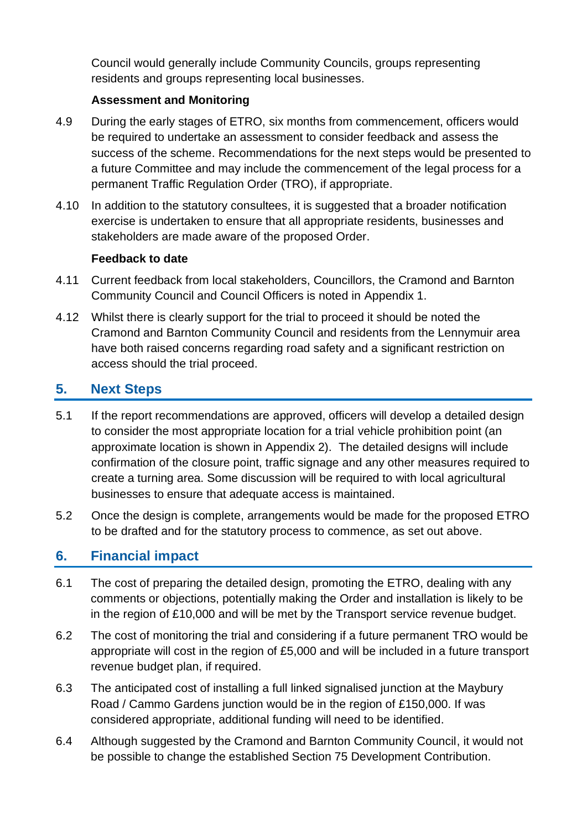Council would generally include Community Councils, groups representing residents and groups representing local businesses.

#### **Assessment and Monitoring**

- 4.9 During the early stages of ETRO, six months from commencement, officers would be required to undertake an assessment to consider feedback and assess the success of the scheme. Recommendations for the next steps would be presented to a future Committee and may include the commencement of the legal process for a permanent Traffic Regulation Order (TRO), if appropriate.
- 4.10 In addition to the statutory consultees, it is suggested that a broader notification exercise is undertaken to ensure that all appropriate residents, businesses and stakeholders are made aware of the proposed Order.

#### **Feedback to date**

- 4.11 Current feedback from local stakeholders, Councillors, the Cramond and Barnton Community Council and Council Officers is noted in Appendix 1.
- 4.12 Whilst there is clearly support for the trial to proceed it should be noted the Cramond and Barnton Community Council and residents from the Lennymuir area have both raised concerns regarding road safety and a significant restriction on access should the trial proceed.

## **5. Next Steps**

- 5.1 If the report recommendations are approved, officers will develop a detailed design to consider the most appropriate location for a trial vehicle prohibition point (an approximate location is shown in Appendix 2). The detailed designs will include confirmation of the closure point, traffic signage and any other measures required to create a turning area. Some discussion will be required to with local agricultural businesses to ensure that adequate access is maintained.
- 5.2 Once the design is complete, arrangements would be made for the proposed ETRO to be drafted and for the statutory process to commence, as set out above.

## **6. Financial impact**

- 6.1 The cost of preparing the detailed design, promoting the ETRO, dealing with any comments or objections, potentially making the Order and installation is likely to be in the region of £10,000 and will be met by the Transport service revenue budget.
- 6.2 The cost of monitoring the trial and considering if a future permanent TRO would be appropriate will cost in the region of £5,000 and will be included in a future transport revenue budget plan, if required.
- 6.3 The anticipated cost of installing a full linked signalised junction at the Maybury Road / Cammo Gardens junction would be in the region of £150,000. If was considered appropriate, additional funding will need to be identified.
- 6.4 Although suggested by the Cramond and Barnton Community Council, it would not be possible to change the established Section 75 Development Contribution.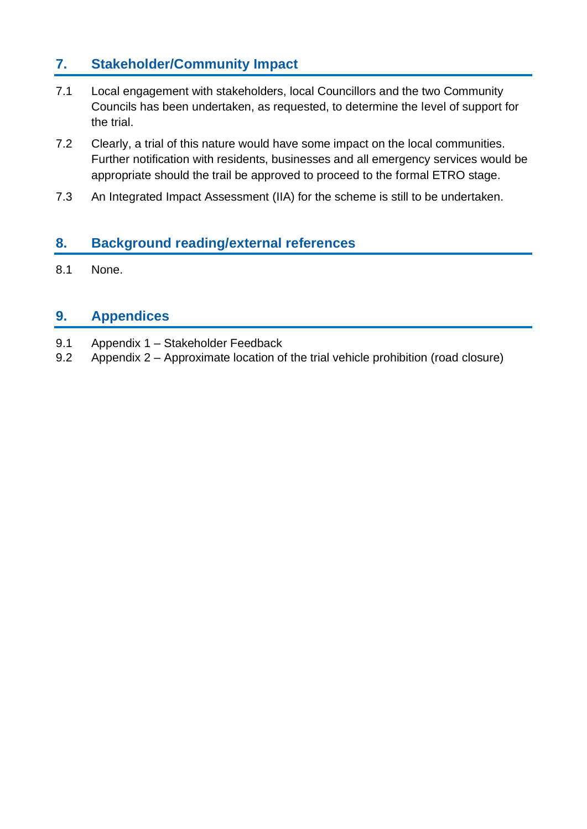## **7. Stakeholder/Community Impact**

- 7.1 Local engagement with stakeholders, local Councillors and the two Community Councils has been undertaken, as requested, to determine the level of support for the trial.
- 7.2 Clearly, a trial of this nature would have some impact on the local communities. Further notification with residents, businesses and all emergency services would be appropriate should the trail be approved to proceed to the formal ETRO stage.
- 7.3 An Integrated Impact Assessment (IIA) for the scheme is still to be undertaken.

### **8. Background reading/external references**

8.1 None.

## **9. Appendices**

- 9.1 Appendix 1 Stakeholder Feedback
- 9.2 Appendix 2 Approximate location of the trial vehicle prohibition (road closure)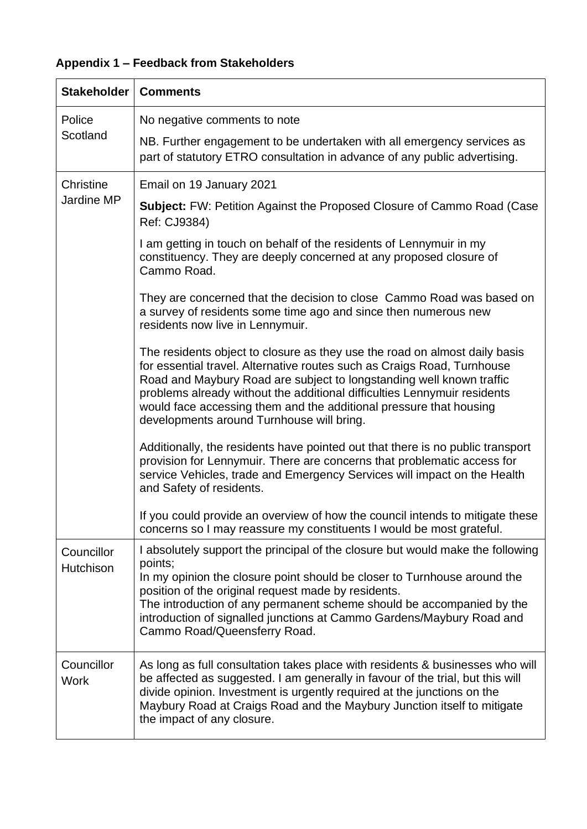## **Appendix 1 – Feedback from Stakeholders**

| <b>Stakeholder</b>        | <b>Comments</b>                                                                                                                                                                                                                                                                                                                                                                                                              |
|---------------------------|------------------------------------------------------------------------------------------------------------------------------------------------------------------------------------------------------------------------------------------------------------------------------------------------------------------------------------------------------------------------------------------------------------------------------|
| Police<br>Scotland        | No negative comments to note<br>NB. Further engagement to be undertaken with all emergency services as<br>part of statutory ETRO consultation in advance of any public advertising.                                                                                                                                                                                                                                          |
|                           |                                                                                                                                                                                                                                                                                                                                                                                                                              |
| Christine<br>Jardine MP   | Email on 19 January 2021                                                                                                                                                                                                                                                                                                                                                                                                     |
|                           | <b>Subject:</b> FW: Petition Against the Proposed Closure of Cammo Road (Case<br>Ref: CJ9384)                                                                                                                                                                                                                                                                                                                                |
|                           | I am getting in touch on behalf of the residents of Lennymuir in my<br>constituency. They are deeply concerned at any proposed closure of<br>Cammo Road.                                                                                                                                                                                                                                                                     |
|                           | They are concerned that the decision to close Cammo Road was based on<br>a survey of residents some time ago and since then numerous new<br>residents now live in Lennymuir.                                                                                                                                                                                                                                                 |
|                           | The residents object to closure as they use the road on almost daily basis<br>for essential travel. Alternative routes such as Craigs Road, Turnhouse<br>Road and Maybury Road are subject to longstanding well known traffic<br>problems already without the additional difficulties Lennymuir residents<br>would face accessing them and the additional pressure that housing<br>developments around Turnhouse will bring. |
|                           | Additionally, the residents have pointed out that there is no public transport<br>provision for Lennymuir. There are concerns that problematic access for<br>service Vehicles, trade and Emergency Services will impact on the Health<br>and Safety of residents.                                                                                                                                                            |
|                           | If you could provide an overview of how the council intends to mitigate these<br>concerns so I may reassure my constituents I would be most grateful.                                                                                                                                                                                                                                                                        |
| Councillor<br>Hutchison   | I absolutely support the principal of the closure but would make the following<br>points;<br>In my opinion the closure point should be closer to Turnhouse around the<br>position of the original request made by residents.<br>The introduction of any permanent scheme should be accompanied by the<br>introduction of signalled junctions at Cammo Gardens/Maybury Road and<br>Cammo Road/Queensferry Road.               |
| Councillor<br><b>Work</b> | As long as full consultation takes place with residents & businesses who will<br>be affected as suggested. I am generally in favour of the trial, but this will<br>divide opinion. Investment is urgently required at the junctions on the<br>Maybury Road at Craigs Road and the Maybury Junction itself to mitigate<br>the impact of any closure.                                                                          |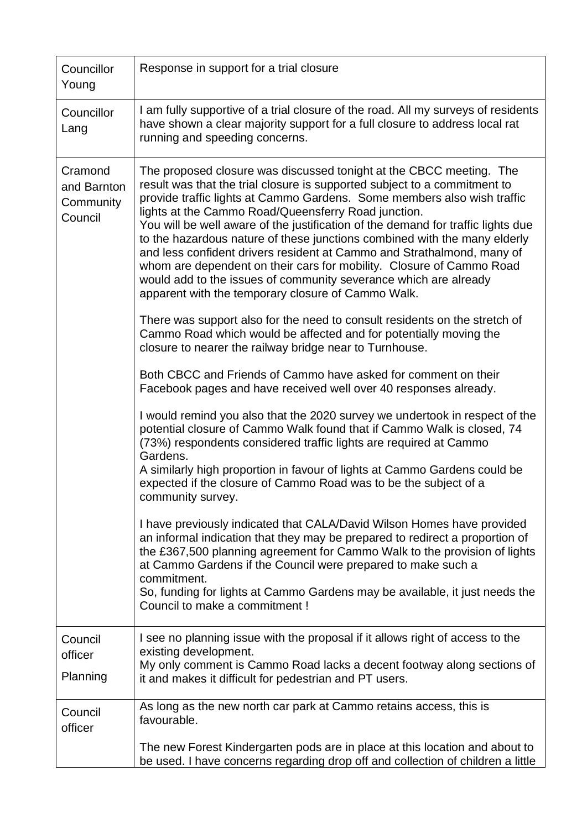| Councillor<br>Young                            | Response in support for a trial closure                                                                                                                                                                                                                                                                                                                                                                                                                                                                                                                                                                                                                                                                                                                                                                                                                                                                                                                                                                                                                                                                                                                                                                                                                                                                                                                                                                                                                                                                                                                                                                                                                                                                                                                                                                                                                                                                                                    |
|------------------------------------------------|--------------------------------------------------------------------------------------------------------------------------------------------------------------------------------------------------------------------------------------------------------------------------------------------------------------------------------------------------------------------------------------------------------------------------------------------------------------------------------------------------------------------------------------------------------------------------------------------------------------------------------------------------------------------------------------------------------------------------------------------------------------------------------------------------------------------------------------------------------------------------------------------------------------------------------------------------------------------------------------------------------------------------------------------------------------------------------------------------------------------------------------------------------------------------------------------------------------------------------------------------------------------------------------------------------------------------------------------------------------------------------------------------------------------------------------------------------------------------------------------------------------------------------------------------------------------------------------------------------------------------------------------------------------------------------------------------------------------------------------------------------------------------------------------------------------------------------------------------------------------------------------------------------------------------------------------|
| Councillor<br>Lang                             | I am fully supportive of a trial closure of the road. All my surveys of residents<br>have shown a clear majority support for a full closure to address local rat<br>running and speeding concerns.                                                                                                                                                                                                                                                                                                                                                                                                                                                                                                                                                                                                                                                                                                                                                                                                                                                                                                                                                                                                                                                                                                                                                                                                                                                                                                                                                                                                                                                                                                                                                                                                                                                                                                                                         |
| Cramond<br>and Barnton<br>Community<br>Council | The proposed closure was discussed tonight at the CBCC meeting. The<br>result was that the trial closure is supported subject to a commitment to<br>provide traffic lights at Cammo Gardens. Some members also wish traffic<br>lights at the Cammo Road/Queensferry Road junction.<br>You will be well aware of the justification of the demand for traffic lights due<br>to the hazardous nature of these junctions combined with the many elderly<br>and less confident drivers resident at Cammo and Strathalmond, many of<br>whom are dependent on their cars for mobility. Closure of Cammo Road<br>would add to the issues of community severance which are already<br>apparent with the temporary closure of Cammo Walk.<br>There was support also for the need to consult residents on the stretch of<br>Cammo Road which would be affected and for potentially moving the<br>closure to nearer the railway bridge near to Turnhouse.<br>Both CBCC and Friends of Cammo have asked for comment on their<br>Facebook pages and have received well over 40 responses already.<br>I would remind you also that the 2020 survey we undertook in respect of the<br>potential closure of Cammo Walk found that if Cammo Walk is closed, 74<br>(73%) respondents considered traffic lights are required at Cammo<br>Gardens.<br>A similarly high proportion in favour of lights at Cammo Gardens could be<br>expected if the closure of Cammo Road was to be the subject of a<br>community survey.<br>I have previously indicated that CALA/David Wilson Homes have provided<br>an informal indication that they may be prepared to redirect a proportion of<br>the £367,500 planning agreement for Cammo Walk to the provision of lights<br>at Cammo Gardens if the Council were prepared to make such a<br>commitment.<br>So, funding for lights at Cammo Gardens may be available, it just needs the<br>Council to make a commitment ! |
| Council                                        | I see no planning issue with the proposal if it allows right of access to the                                                                                                                                                                                                                                                                                                                                                                                                                                                                                                                                                                                                                                                                                                                                                                                                                                                                                                                                                                                                                                                                                                                                                                                                                                                                                                                                                                                                                                                                                                                                                                                                                                                                                                                                                                                                                                                              |
| officer<br>Planning                            | existing development.<br>My only comment is Cammo Road lacks a decent footway along sections of<br>it and makes it difficult for pedestrian and PT users.                                                                                                                                                                                                                                                                                                                                                                                                                                                                                                                                                                                                                                                                                                                                                                                                                                                                                                                                                                                                                                                                                                                                                                                                                                                                                                                                                                                                                                                                                                                                                                                                                                                                                                                                                                                  |
| Council<br>officer                             | As long as the new north car park at Cammo retains access, this is<br>favourable.                                                                                                                                                                                                                                                                                                                                                                                                                                                                                                                                                                                                                                                                                                                                                                                                                                                                                                                                                                                                                                                                                                                                                                                                                                                                                                                                                                                                                                                                                                                                                                                                                                                                                                                                                                                                                                                          |
|                                                | The new Forest Kindergarten pods are in place at this location and about to<br>be used. I have concerns regarding drop off and collection of children a little                                                                                                                                                                                                                                                                                                                                                                                                                                                                                                                                                                                                                                                                                                                                                                                                                                                                                                                                                                                                                                                                                                                                                                                                                                                                                                                                                                                                                                                                                                                                                                                                                                                                                                                                                                             |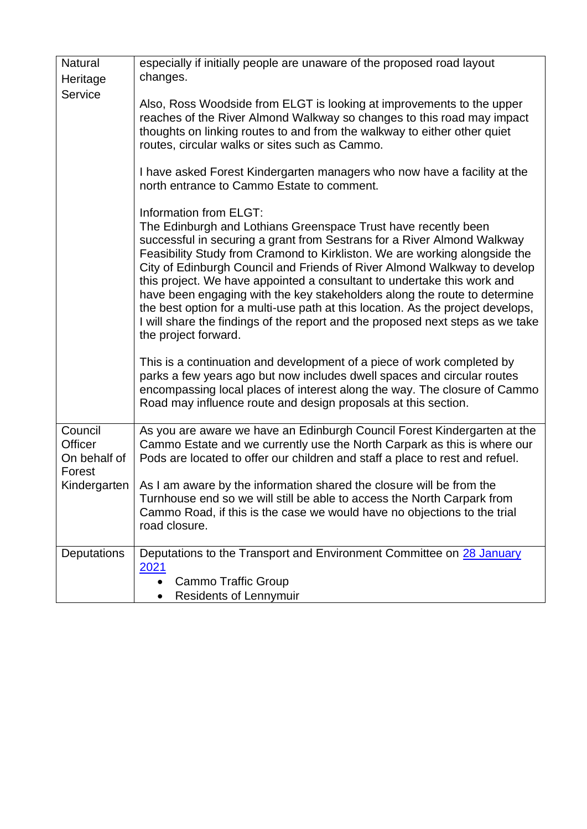| <b>Natural</b>                               | especially if initially people are unaware of the proposed road layout                                                                                                                                                                                                                                                                                                                                                                                                                                                                                                                                                                                                             |
|----------------------------------------------|------------------------------------------------------------------------------------------------------------------------------------------------------------------------------------------------------------------------------------------------------------------------------------------------------------------------------------------------------------------------------------------------------------------------------------------------------------------------------------------------------------------------------------------------------------------------------------------------------------------------------------------------------------------------------------|
| Heritage                                     | changes.                                                                                                                                                                                                                                                                                                                                                                                                                                                                                                                                                                                                                                                                           |
| <b>Service</b>                               | Also, Ross Woodside from ELGT is looking at improvements to the upper<br>reaches of the River Almond Walkway so changes to this road may impact<br>thoughts on linking routes to and from the walkway to either other quiet<br>routes, circular walks or sites such as Cammo.                                                                                                                                                                                                                                                                                                                                                                                                      |
|                                              | I have asked Forest Kindergarten managers who now have a facility at the<br>north entrance to Cammo Estate to comment.                                                                                                                                                                                                                                                                                                                                                                                                                                                                                                                                                             |
|                                              | Information from ELGT:<br>The Edinburgh and Lothians Greenspace Trust have recently been<br>successful in securing a grant from Sestrans for a River Almond Walkway<br>Feasibility Study from Cramond to Kirkliston. We are working alongside the<br>City of Edinburgh Council and Friends of River Almond Walkway to develop<br>this project. We have appointed a consultant to undertake this work and<br>have been engaging with the key stakeholders along the route to determine<br>the best option for a multi-use path at this location. As the project develops,<br>I will share the findings of the report and the proposed next steps as we take<br>the project forward. |
|                                              | This is a continuation and development of a piece of work completed by<br>parks a few years ago but now includes dwell spaces and circular routes<br>encompassing local places of interest along the way. The closure of Cammo<br>Road may influence route and design proposals at this section.                                                                                                                                                                                                                                                                                                                                                                                   |
| Council<br>Officer<br>On behalf of<br>Forest | As you are aware we have an Edinburgh Council Forest Kindergarten at the<br>Cammo Estate and we currently use the North Carpark as this is where our<br>Pods are located to offer our children and staff a place to rest and refuel.                                                                                                                                                                                                                                                                                                                                                                                                                                               |
| Kindergarten                                 | As I am aware by the information shared the closure will be from the<br>Turnhouse end so we will still be able to access the North Carpark from<br>Cammo Road, if this is the case we would have no objections to the trial<br>road closure.                                                                                                                                                                                                                                                                                                                                                                                                                                       |
| <b>Deputations</b>                           | Deputations to the Transport and Environment Committee on 28 January<br><u> 2021</u><br><b>Cammo Traffic Group</b><br>$\bullet$                                                                                                                                                                                                                                                                                                                                                                                                                                                                                                                                                    |
|                                              | <b>Residents of Lennymuir</b>                                                                                                                                                                                                                                                                                                                                                                                                                                                                                                                                                                                                                                                      |